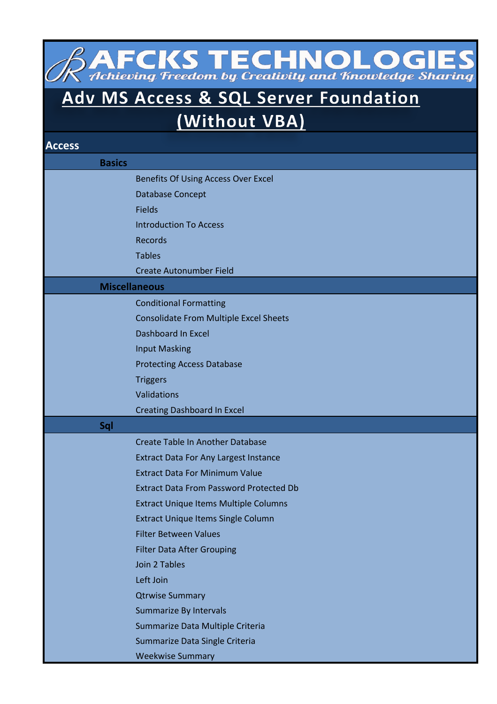**AFCKS TECHNOLOGIES**<br>Achieving Freedom by Creativity and Knowledge Sharing

## Adv MS Access & SQL Server Foundation

(Without VBA)

| <b>Access</b> |                                                |
|---------------|------------------------------------------------|
| <b>Basics</b> |                                                |
|               | Benefits Of Using Access Over Excel            |
|               | Database Concept                               |
|               | <b>Fields</b>                                  |
|               | <b>Introduction To Access</b>                  |
|               | <b>Records</b>                                 |
|               | <b>Tables</b>                                  |
|               | <b>Create Autonumber Field</b>                 |
|               | <b>Miscellaneous</b>                           |
|               | <b>Conditional Formatting</b>                  |
|               | <b>Consolidate From Multiple Excel Sheets</b>  |
|               | <b>Dashboard In Excel</b>                      |
|               | <b>Input Masking</b>                           |
|               | <b>Protecting Access Database</b>              |
|               | <b>Triggers</b>                                |
|               | Validations                                    |
|               | <b>Creating Dashboard In Excel</b>             |
| Sql           |                                                |
|               | <b>Create Table In Another Database</b>        |
|               | <b>Extract Data For Any Largest Instance</b>   |
|               | <b>Extract Data For Minimum Value</b>          |
|               | <b>Extract Data From Password Protected Db</b> |
|               | <b>Extract Unique Items Multiple Columns</b>   |
|               | <b>Extract Unique Items Single Column</b>      |
|               | <b>Filter Between Values</b>                   |
|               | <b>Filter Data After Grouping</b>              |
|               | Join 2 Tables                                  |
|               | Left Join                                      |
|               | <b>Qtrwise Summary</b>                         |
|               | Summarize By Intervals                         |
|               | Summarize Data Multiple Criteria               |
|               | Summarize Data Single Criteria                 |
|               | <b>Weekwise Summary</b>                        |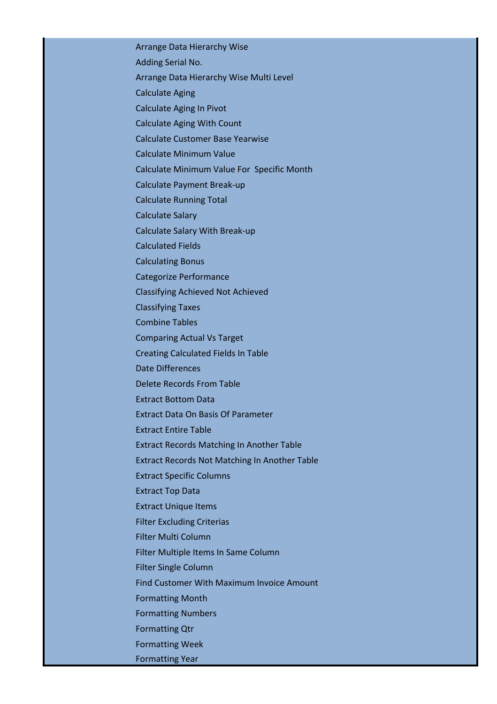Arrange Data Hierarchy Wise Adding Serial No. Arrange Data Hierarchy Wise Multi Level Calculate Aging Calculate Aging In Pivot Calculate Aging With Count Calculate Customer Base Yearwise Calculate Minimum Value Calculate Minimum Value For Specific Month Calculate Payment Break-up Calculate Running Total Calculate Salary Calculate Salary With Break-up Calculated Fields Calculating Bonus Categorize Performance Classifying Achieved Not Achieved Classifying Taxes Combine Tables Comparing Actual Vs Target Creating Calculated Fields In Table Date Differences Delete Records From Table Extract Bottom Data Extract Data On Basis Of Parameter Extract Entire Table Extract Records Matching In Another Table Extract Records Not Matching In Another Table Extract Specific Columns Extract Top Data Extract Unique Items Filter Excluding Criterias Filter Multi Column Filter Multiple Items In Same Column Filter Single Column Find Customer With Maximum Invoice Amount Formatting Month Formatting Numbers Formatting Qtr Formatting Week

Formatting Year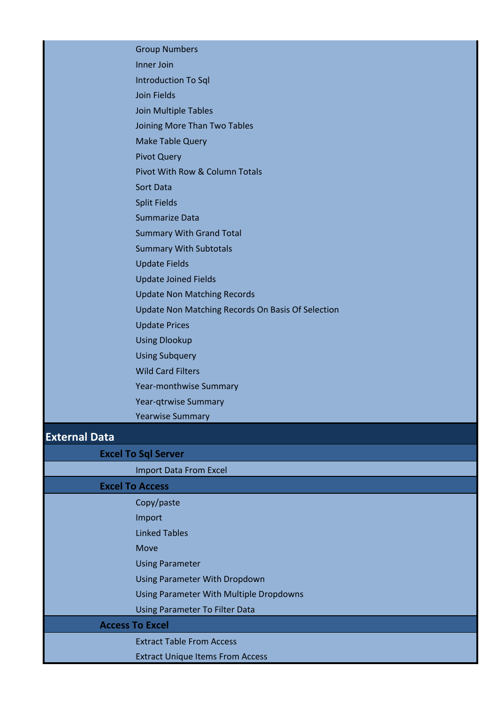|               | <b>Group Numbers</b>                              |
|---------------|---------------------------------------------------|
|               | Inner Join                                        |
|               | <b>Introduction To Sql</b>                        |
|               | <b>Join Fields</b>                                |
|               | <b>Join Multiple Tables</b>                       |
|               | Joining More Than Two Tables                      |
|               | <b>Make Table Query</b>                           |
|               | <b>Pivot Query</b>                                |
|               | <b>Pivot With Row &amp; Column Totals</b>         |
|               | <b>Sort Data</b>                                  |
|               | <b>Split Fields</b>                               |
|               | <b>Summarize Data</b>                             |
|               | <b>Summary With Grand Total</b>                   |
|               | <b>Summary With Subtotals</b>                     |
|               | <b>Update Fields</b>                              |
|               | <b>Update Joined Fields</b>                       |
|               | <b>Update Non Matching Records</b>                |
|               | Update Non Matching Records On Basis Of Selection |
|               | <b>Update Prices</b>                              |
|               | <b>Using Dlookup</b>                              |
|               | <b>Using Subquery</b>                             |
|               | <b>Wild Card Filters</b>                          |
|               | Year-monthwise Summary                            |
|               | <b>Year-qtrwise Summary</b>                       |
|               | <b>Yearwise Summary</b>                           |
| Eytornal Data |                                                   |

## **External Data**

| <b>Excel To Sql Server</b>              |  |
|-----------------------------------------|--|
| <b>Import Data From Excel</b>           |  |
| <b>Excel To Access</b>                  |  |
| Copy/paste                              |  |
| Import                                  |  |
| <b>Linked Tables</b>                    |  |
| <b>Move</b>                             |  |
| <b>Using Parameter</b>                  |  |
| <b>Using Parameter With Dropdown</b>    |  |
| Using Parameter With Multiple Dropdowns |  |
| <b>Using Parameter To Filter Data</b>   |  |
| <b>Access To Excel</b>                  |  |
| <b>Extract Table From Access</b>        |  |
| <b>Extract Unique Items From Access</b> |  |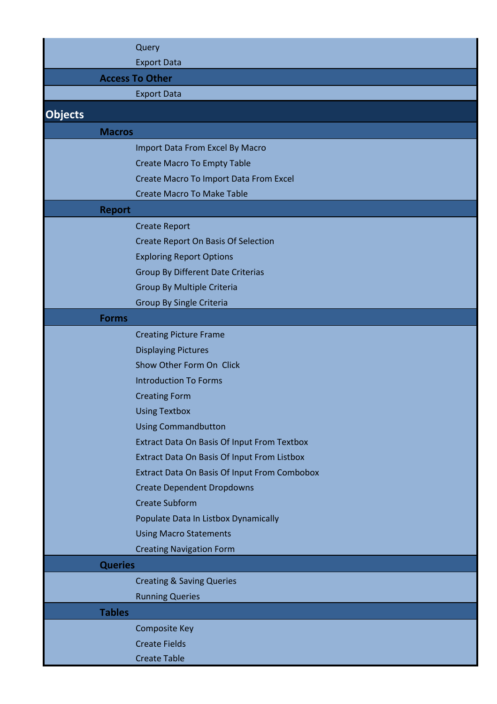|                | Query                                               |
|----------------|-----------------------------------------------------|
|                | <b>Export Data</b>                                  |
|                | <b>Access To Other</b>                              |
|                | <b>Export Data</b>                                  |
|                |                                                     |
| <b>Objects</b> |                                                     |
| <b>Macros</b>  |                                                     |
|                | Import Data From Excel By Macro                     |
|                | <b>Create Macro To Empty Table</b>                  |
|                | <b>Create Macro To Import Data From Excel</b>       |
|                | <b>Create Macro To Make Table</b>                   |
| <b>Report</b>  |                                                     |
|                | <b>Create Report</b>                                |
|                | <b>Create Report On Basis Of Selection</b>          |
|                | <b>Exploring Report Options</b>                     |
|                | <b>Group By Different Date Criterias</b>            |
|                | Group By Multiple Criteria                          |
|                | <b>Group By Single Criteria</b>                     |
| <b>Forms</b>   |                                                     |
|                | <b>Creating Picture Frame</b>                       |
|                | <b>Displaying Pictures</b>                          |
|                | Show Other Form On Click                            |
|                | <b>Introduction To Forms</b>                        |
|                | <b>Creating Form</b>                                |
|                | <b>Using Textbox</b>                                |
|                | <b>Using Commandbutton</b>                          |
|                | <b>Extract Data On Basis Of Input From Textbox</b>  |
|                | <b>Extract Data On Basis Of Input From Listbox</b>  |
|                | <b>Extract Data On Basis Of Input From Combobox</b> |
|                | <b>Create Dependent Dropdowns</b>                   |
|                | <b>Create Subform</b>                               |
|                | Populate Data In Listbox Dynamically                |
|                | <b>Using Macro Statements</b>                       |
|                | <b>Creating Navigation Form</b>                     |
| <b>Queries</b> |                                                     |
|                | <b>Creating &amp; Saving Queries</b>                |
|                | <b>Running Queries</b>                              |
| <b>Tables</b>  |                                                     |
|                | <b>Composite Key</b>                                |
|                | <b>Create Fields</b>                                |
|                | <b>Create Table</b>                                 |